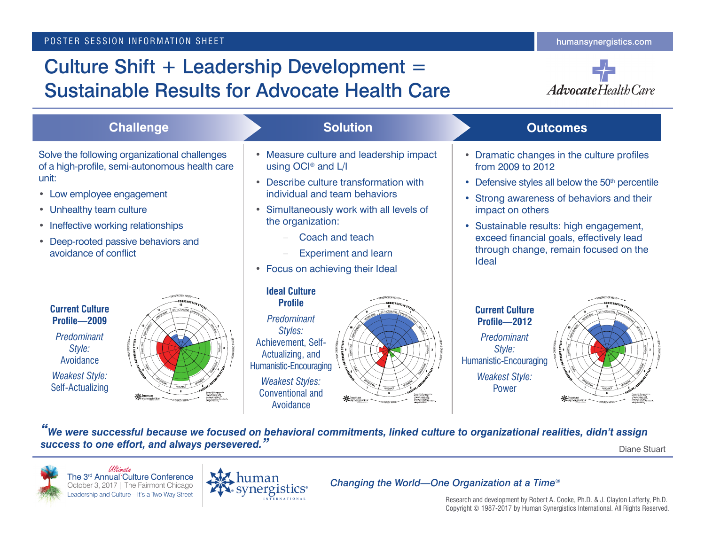# Culture Shift + Leadership Development = Sustainable Results for Advocate Health Care



| <b>Challenge</b>                                                                                                                                                                                                                                                         | <b>Solution</b>                                                                                                                                                                                                                                                                                         | <b>Outcomes</b>                                                                                                                                                                                                                                                                                                                                  |
|--------------------------------------------------------------------------------------------------------------------------------------------------------------------------------------------------------------------------------------------------------------------------|---------------------------------------------------------------------------------------------------------------------------------------------------------------------------------------------------------------------------------------------------------------------------------------------------------|--------------------------------------------------------------------------------------------------------------------------------------------------------------------------------------------------------------------------------------------------------------------------------------------------------------------------------------------------|
| Solve the following organizational challenges<br>of a high-profile, semi-autonomous health care<br>unit:<br>• Low employee engagement<br>• Unhealthy team culture<br>• Ineffective working relationships<br>• Deep-rooted passive behaviors and<br>avoidance of conflict | • Measure culture and leadership impact<br>using OCI <sup>®</sup> and L/I<br>Describe culture transformation with<br>individual and team behaviors<br>Simultaneously work with all levels of<br>the organization:<br>Coach and teach<br><b>Experiment and learn</b><br>• Focus on achieving their Ideal | • Dramatic changes in the culture profiles<br>from 2009 to 2012<br>• Defensive styles all below the 50 <sup>th</sup> percentile<br>• Strong awareness of behaviors and their<br>impact on others<br>• Sustainable results: high engagement,<br>exceed financial goals, effectively lead<br>through change, remain focused on the<br><b>Ideal</b> |
| <b>Current Culture</b><br>Profile-2009<br>Predominant<br>Style:<br>Avoidance<br><b>Weakest Style:</b><br>Self-Actualizing<br><b>NG</b> human<br>Pre synergistics                                                                                                         | <b>Ideal Culture</b><br><b>Profile</b><br>Predominant<br>Styles:<br>Achievement, Self-<br>Actualizing, and<br>Humanistic-Encouraging<br><b>Weakest Styles:</b><br><b>Conventional and</b><br>※human<br>※synergistics<br>Avoidance                                                                       | <b>Current Culture</b><br>Profile-2012<br>Predominant<br>Style:<br>Humanistic-Encouraging<br><b>Weakest Style:</b><br>Power<br><b>K</b> synergistics                                                                                                                                                                                             |
| "We were successful because we focused on behavioral commitments, linked culture to organizational realities, didn't assign<br>success to one effort, and always persevered."<br>Diane Stuart                                                                            |                                                                                                                                                                                                                                                                                                         |                                                                                                                                                                                                                                                                                                                                                  |



The 3<sup>rd</sup> Annual<sup>V</sup>Culture Conference October 3, 2017 | The Fairmont Chicago Leadership and Culture—It's a Two-Way Street Ultimate



#### *Changing the World—One Organization at a Time®*

Research and development by Robert A. Cooke, Ph.D. & J. Clayton Lafferty, Ph.D. Copyright © 1987-2017 by Human Synergistics International. All Rights Reserved.